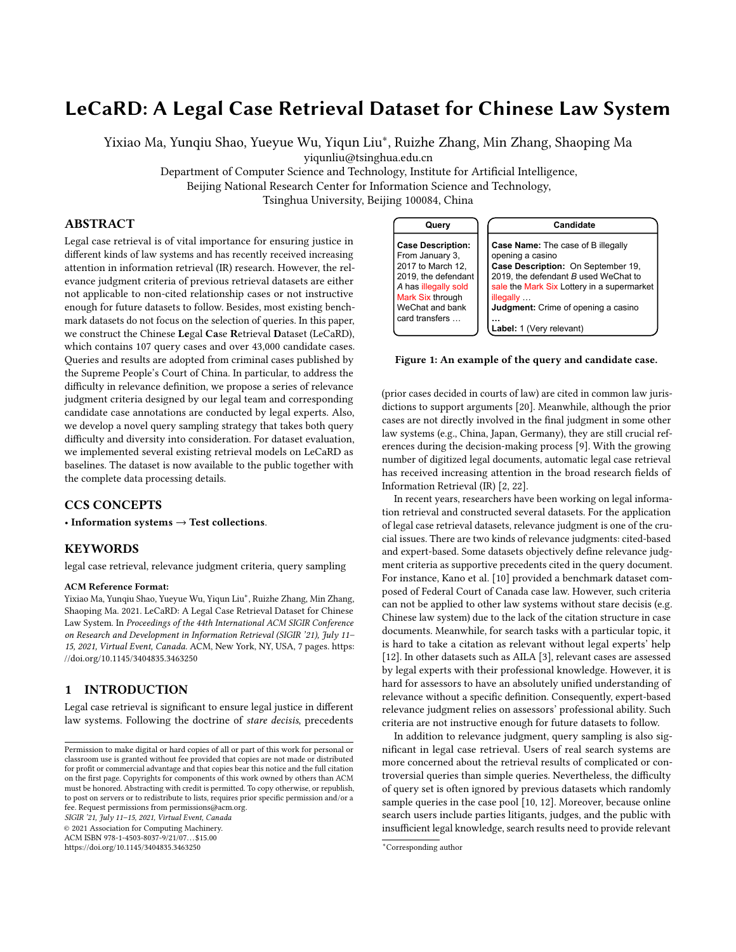# LeCaRD: A Legal Case Retrieval Dataset for Chinese Law System

Yixiao Ma, Yunqiu Shao, Yueyue Wu, Yiqun Liu<sup>∗</sup> , Ruizhe Zhang, Min Zhang, Shaoping Ma

yiqunliu@tsinghua.edu.cn

Department of Computer Science and Technology, Institute for Artificial Intelligence,

Beijing National Research Center for Information Science and Technology,

Tsinghua University, Beijing 100084, China

# ABSTRACT

Legal case retrieval is of vital importance for ensuring justice in different kinds of law systems and has recently received increasing attention in information retrieval (IR) research. However, the relevance judgment criteria of previous retrieval datasets are either not applicable to non-cited relationship cases or not instructive enough for future datasets to follow. Besides, most existing benchmark datasets do not focus on the selection of queries. In this paper, we construct the Chinese Legal Case Retrieval Dataset (LeCaRD), which contains 107 query cases and over 43,000 candidate cases. Queries and results are adopted from criminal cases published by the Supreme People's Court of China. In particular, to address the difficulty in relevance definition, we propose a series of relevance judgment criteria designed by our legal team and corresponding candidate case annotations are conducted by legal experts. Also, we develop a novel query sampling strategy that takes both query difficulty and diversity into consideration. For dataset evaluation, we implemented several existing retrieval models on LeCaRD as baselines. The dataset is now available to the public together with the complete data processing details.

# CCS CONCEPTS

• Information systems  $\rightarrow$  Test collections.

## KEYWORDS

legal case retrieval, relevance judgment criteria, query sampling

#### ACM Reference Format:

Yixiao Ma, Yunqiu Shao, Yueyue Wu, Yiqun Liu<sup>∗</sup> , Ruizhe Zhang, Min Zhang, Shaoping Ma. 2021. LeCaRD: A Legal Case Retrieval Dataset for Chinese Law System. In Proceedings of the 44th International ACM SIGIR Conference on Research and Development in Information Retrieval (SIGIR '21), July 11– 15, 2021, Virtual Event, Canada. ACM, New York, NY, USA, [7](#page-6-0) pages. [https:](https://doi.org/10.1145/3404835.3463250) [//doi.org/10.1145/3404835.3463250](https://doi.org/10.1145/3404835.3463250)

### <span id="page-0-1"></span>1 INTRODUCTION

Legal case retrieval is significant to ensure legal justice in different law systems. Following the doctrine of stare decisis, precedents

SIGIR '21, July 11–15, 2021, Virtual Event, Canada

© 2021 Association for Computing Machinery.

ACM ISBN 978-1-4503-8037-9/21/07. . . \$15.00 <https://doi.org/10.1145/3404835.3463250>

<span id="page-0-0"></span>**Query Case Description:**  From January 3, 2017 to March 12, 2019, the defendant *A* has illegally sold Mark Six through WeChat and bank card transfers … **Candidate Case Name:** The case of B illegally opening a casino **Case Description:** On September 19, 2019, the defendant *B* used WeChat to sale the Mark Six Lottery in a supermarket illegally … **Judgment:** Crime of opening a casino **… Label:** 1 (Very relevant)

#### Figure 1: An example of the query and candidate case.

(prior cases decided in courts of law) are cited in common law jurisdictions to support arguments [\[20\]](#page-6-1). Meanwhile, although the prior cases are not directly involved in the final judgment in some other law systems (e.g., China, Japan, Germany), they are still crucial references during the decision-making process [\[9\]](#page-6-2). With the growing number of digitized legal documents, automatic legal case retrieval has received increasing attention in the broad research fields of Information Retrieval (IR) [\[2,](#page-5-0) [22\]](#page-6-3).

In recent years, researchers have been working on legal information retrieval and constructed several datasets. For the application of legal case retrieval datasets, relevance judgment is one of the crucial issues. There are two kinds of relevance judgments: cited-based and expert-based. Some datasets objectively define relevance judgment criteria as supportive precedents cited in the query document. For instance, Kano et al. [\[10\]](#page-6-4) provided a benchmark dataset composed of Federal Court of Canada case law. However, such criteria can not be applied to other law systems without stare decisis (e.g. Chinese law system) due to the lack of the citation structure in case documents. Meanwhile, for search tasks with a particular topic, it is hard to take a citation as relevant without legal experts' help [\[12\]](#page-6-5). In other datasets such as AILA [\[3\]](#page-6-6), relevant cases are assessed by legal experts with their professional knowledge. However, it is hard for assessors to have an absolutely unified understanding of relevance without a specific definition. Consequently, expert-based relevance judgment relies on assessors' professional ability. Such criteria are not instructive enough for future datasets to follow.

In addition to relevance judgment, query sampling is also significant in legal case retrieval. Users of real search systems are more concerned about the retrieval results of complicated or controversial queries than simple queries. Nevertheless, the difficulty of query set is often ignored by previous datasets which randomly sample queries in the case pool [\[10,](#page-6-4) [12\]](#page-6-5). Moreover, because online search users include parties litigants, judges, and the public with insufficient legal knowledge, search results need to provide relevant

Permission to make digital or hard copies of all or part of this work for personal or classroom use is granted without fee provided that copies are not made or distributed for profit or commercial advantage and that copies bear this notice and the full citation on the first page. Copyrights for components of this work owned by others than ACM must be honored. Abstracting with credit is permitted. To copy otherwise, or republish, to post on servers or to redistribute to lists, requires prior specific permission and/or a fee. Request permissions from permissions@acm.org.

<sup>∗</sup>Corresponding author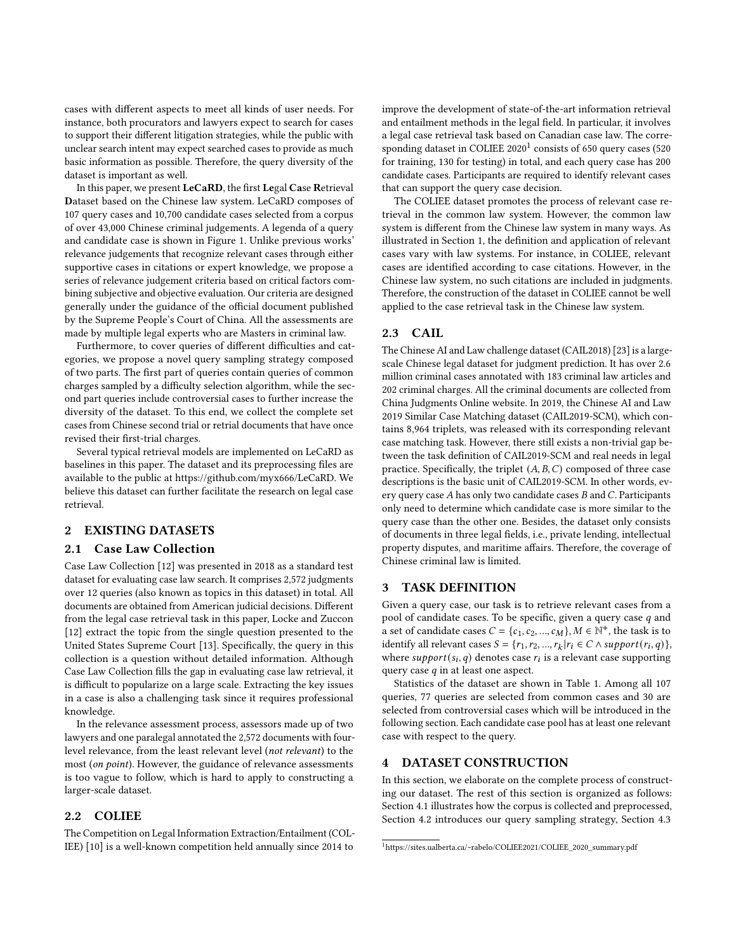cases with different aspects to meet all kinds of user needs. For instance, both procurators and lawyers expect to search for cases to support their different litigation strategies, while the public with unclear search intent may expect searched cases to provide as much basic information as possible. Therefore, the query diversity of the dataset is important as well.

In this paper, we present LeCaRD, the first Legal Case Retrieval Dataset based on the Chinese law system. LeCaRD composes of 107 query cases and 10,700 candidate cases selected from a corpus of over 43,000 Chinese criminal judgements. A legenda of a query and candidate case is shown in Figure [1.](#page-0-0) Unlike previous works' relevance judgements that recognize relevant cases through either supportive cases in citations or expert knowledge, we propose a series of relevance judgement criteria based on critical factors combining subjective and objective evaluation. Our criteria are designed generally under the guidance of the official document published by the Supreme People's Court of China. All the assessments are made by multiple legal experts who are Masters in criminal law.

Furthermore, to cover queries of different difficulties and categories, we propose a novel query sampling strategy composed of two parts. The first part of queries contain queries of common charges sampled by a difficulty selection algorithm, while the second part queries include controversial cases to further increase the diversity of the dataset. To this end, we collect the complete set cases from Chinese second trial or retrial documents that have once revised their first-trial charges.

Several typical retrieval models are implemented on LeCaRD as baselines in this paper. The dataset and its preprocessing files are available to the public at [https://github.com/myx666/LeCaRD.](https://github.com/myx666/LeCaRD) We believe this dataset can further facilitate the research on legal case retrieval.

## 2 EXISTING DATASETS

## 2.1 Case Law Collection

Case Law Collection [\[12\]](#page-6-5) was presented in 2018 as a standard test dataset for evaluating case law search. It comprises 2,572 judgments over 12 queries (also known as topics in this dataset) in total. All documents are obtained from American judicial decisions. Different from the legal case retrieval task in this paper, Locke and Zuccon [\[12\]](#page-6-5) extract the topic from the single question presented to the United States Supreme Court [\[13\]](#page-6-7). Specifically, the query in this collection is a question without detailed information. Although Case Law Collection fills the gap in evaluating case law retrieval, it is difficult to popularize on a large scale. Extracting the key issues in a case is also a challenging task since it requires professional knowledge.

In the relevance assessment process, assessors made up of two lawyers and one paralegal annotated the 2,572 documents with fourlevel relevance, from the least relevant level (not relevant) to the most (on point). However, the guidance of relevance assessments is too vague to follow, which is hard to apply to constructing a larger-scale dataset.

# 2.2 COLIEE

The Competition on Legal Information Extraction/Entailment (COL-IEE) [\[10\]](#page-6-4) is a well-known competition held annually since 2014 to

improve the development of state-of-the-art information retrieval and entailment methods in the legal field. In particular, it involves a legal case retrieval task based on Canadian case law. The corresponding dataset in COLIEE  $2020<sup>1</sup>$  $2020<sup>1</sup>$  $2020<sup>1</sup>$  consists of 650 query cases (520 for training, 130 for testing) in total, and each query case has 200 candidate cases. Participants are required to identify relevant cases that can support the query case decision.

The COLIEE dataset promotes the process of relevant case retrieval in the common law system. However, the common law system is different from the Chinese law system in many ways. As illustrated in Section [1,](#page-0-1) the definition and application of relevant cases vary with law systems. For instance, in COLIEE, relevant cases are identified according to case citations. However, in the Chinese law system, no such citations are included in judgments. Therefore, the construction of the dataset in COLIEE cannot be well applied to the case retrieval task in the Chinese law system.

#### 2.3 CAIL

The Chinese AI and Law challenge dataset (CAIL2018) [\[23\]](#page-6-8) is a largescale Chinese legal dataset for judgment prediction. It has over 2.6 million criminal cases annotated with 183 criminal law articles and 202 criminal charges. All the criminal documents are collected from China Judgments Online website. In 2019, the Chinese AI and Law 2019 Similar Case Matching dataset (CAIL2019-SCM), which contains 8,964 triplets, was released with its corresponding relevant case matching task. However, there still exists a non-trivial gap between the task definition of CAIL2019-SCM and real needs in legal practice. Specifically, the triplet  $(A, B, C)$  composed of three case descriptions is the basic unit of CAIL2019-SCM. In other words, every query case  $A$  has only two candidate cases  $B$  and  $C$ . Participants only need to determine which candidate case is more similar to the query case than the other one. Besides, the dataset only consists of documents in three legal fields, i.e., private lending, intellectual property disputes, and maritime affairs. Therefore, the coverage of Chinese criminal law is limited.

## 3 TASK DEFINITION

Given a query case, our task is to retrieve relevant cases from a pool of candidate cases. To be specific, given a query case  $q$  and a set of candidate cases  $C = \{c_1, c_2, ..., c_M\}, M \in \mathbb{N}^+$ , the task is to identify all relevant cases  $S = \{r_1, r_2, ..., r_k | r_i \in C \land support(r_i, q)\},\$ where  $support(s_i, q)$  denotes case  $r_i$  is a relevant case supporting query case  $q$  in at least one aspect.

Statistics of the dataset are shown in Table [1.](#page-2-0) Among all 107 queries, 77 queries are selected from common cases and 30 are selected from controversial cases which will be introduced in the following section. Each candidate case pool has at least one relevant case with respect to the query.

## 4 DATASET CONSTRUCTION

In this section, we elaborate on the complete process of constructing our dataset. The rest of this section is organized as follows: Section [4.1](#page-2-1) illustrates how the corpus is collected and preprocessed, Section [4.2](#page-2-2) introduces our query sampling strategy, Section [4.3](#page-3-0)

<span id="page-1-0"></span><sup>1</sup>[https://sites.ualberta.ca/~rabelo/COLIEE2021/COLIEE\\_2020\\_summary.pdf](https://sites.ualberta.ca/~rabelo/COLIEE2021/COLIEE_2020_summary.pdf)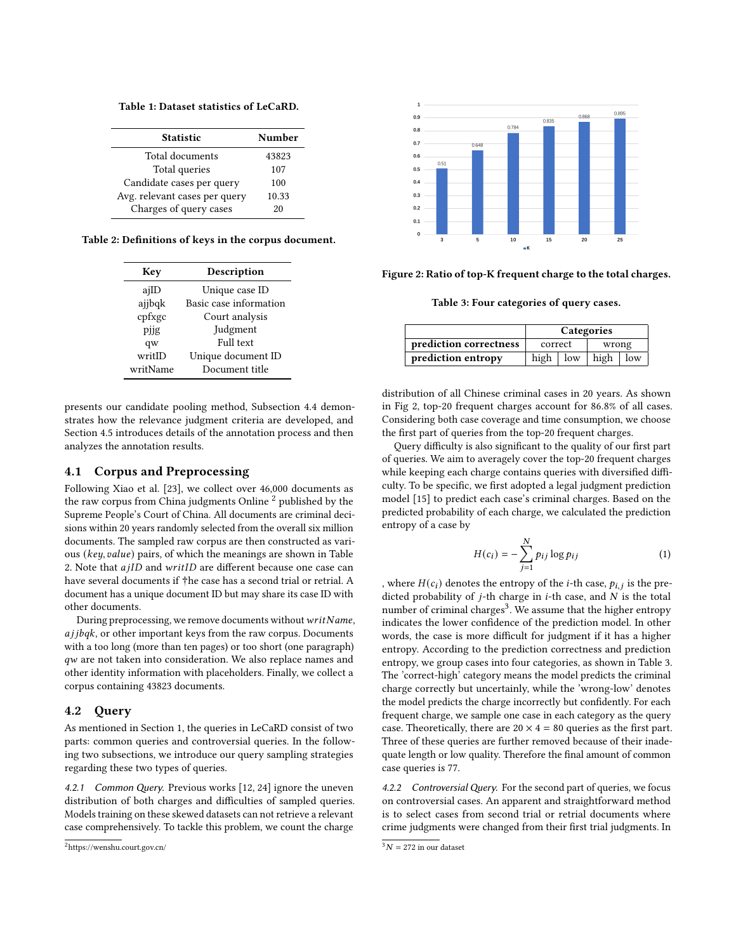<span id="page-2-0"></span>Table 1: Dataset statistics of LeCaRD.

| <b>Statistic</b>              | Number |  |
|-------------------------------|--------|--|
| Total documents               | 43823  |  |
| Total queries                 | 107    |  |
| Candidate cases per query     | 100    |  |
| Avg. relevant cases per query | 10.33  |  |
| Charges of query cases        | 20     |  |

<span id="page-2-4"></span>Table 2: Definitions of keys in the corpus document.

| Key      | Description            |  |
|----------|------------------------|--|
| ajID     | Unique case ID         |  |
| ajjbqk   | Basic case information |  |
| cpfxgc   | Court analysis         |  |
| pjjg     | Judgment               |  |
| qw       | Full text              |  |
| writID   | Unique document ID     |  |
| writName | Document title         |  |

presents our candidate pooling method, Subsection [4.4](#page-3-1) demonstrates how the relevance judgment criteria are developed, and Section [4.5](#page-4-0) introduces details of the annotation process and then analyzes the annotation results.

# <span id="page-2-1"></span>4.1 Corpus and Preprocessing

Following Xiao et al. [\[23\]](#page-6-8), we collect over 46,000 documents as the raw corpus from China judgments Online  $2$  published by the Supreme People's Court of China. All documents are criminal decisions within 20 years randomly selected from the overall six million documents. The sampled raw corpus are then constructed as various ( $key$ ,  $value$ ) pairs, of which the meanings are shown in Table [2.](#page-2-4) Note that  $a$ j $ID$  and  $written$  are different because one case can have several documents if †he case has a second trial or retrial. A document has a unique document ID but may share its case ID with other documents.

During preprocessing, we remove documents without  $writeName$ ,  $a$ j $j$  $b$  $q$  $k$ , or other important keys from the raw corpus. Documents with a too long (more than ten pages) or too short (one paragraph) qw are not taken into consideration. We also replace names and other identity information with placeholders. Finally, we collect a corpus containing 43823 documents.

#### <span id="page-2-2"></span>4.2 Query

As mentioned in Section [1,](#page-0-1) the queries in LeCaRD consist of two parts: common queries and controversial queries. In the following two subsections, we introduce our query sampling strategies regarding these two types of queries.

4.2.1 Common Query. Previous works [\[12,](#page-6-5) [24\]](#page-6-9) ignore the uneven distribution of both charges and difficulties of sampled queries. Models training on these skewed datasets can not retrieve a relevant case comprehensively. To tackle this problem, we count the charge

<span id="page-2-5"></span>

<span id="page-2-7"></span>Figure 2: Ratio of top-K frequent charge to the total charges.

Table 3: Four categories of query cases.

|                        | Categories |     |                  |  |
|------------------------|------------|-----|------------------|--|
| prediction correctness | correct    |     | wrong            |  |
| prediction entropy     | high       | low | high $\vert$ low |  |

distribution of all Chinese criminal cases in 20 years. As shown in Fig [2,](#page-2-5) top-20 frequent charges account for 86.8% of all cases. Considering both case coverage and time consumption, we choose the first part of queries from the top-20 frequent charges.

Query difficulty is also significant to the quality of our first part of queries. We aim to averagely cover the top-20 frequent charges while keeping each charge contains queries with diversified difficulty. To be specific, we first adopted a legal judgment prediction model [\[15\]](#page-6-10) to predict each case's criminal charges. Based on the predicted probability of each charge, we calculated the prediction entropy of a case by

$$
H(c_i) = -\sum_{j=1}^{N} p_{ij} \log p_{ij}
$$
 (1)

, where  $H(c_i)$  denotes the entropy of the *i*-th case,  $p_{i,j}$  is the predicted probability of  $j$ -th charge in  $i$ -th case, and  $N$  is the total number of criminal charges<sup>[3](#page-2-6)</sup>. We assume that the higher entropy indicates the lower confidence of the prediction model. In other words, the case is more difficult for judgment if it has a higher entropy. According to the prediction correctness and prediction entropy, we group cases into four categories, as shown in Table [3.](#page-2-7) The 'correct-high' category means the model predicts the criminal charge correctly but uncertainly, while the 'wrong-low' denotes the model predicts the charge incorrectly but confidently. For each frequent charge, we sample one case in each category as the query case. Theoretically, there are  $20 \times 4 = 80$  queries as the first part. Three of these queries are further removed because of their inadequate length or low quality. Therefore the final amount of common case queries is 77.

4.2.2 Controversial Query. For the second part of queries, we focus on controversial cases. An apparent and straightforward method is to select cases from second trial or retrial documents where crime judgments were changed from their first trial judgments. In

<span id="page-2-3"></span><sup>2</sup><https://wenshu.court.gov.cn/>

<span id="page-2-6"></span> $3N = 272$  in our dataset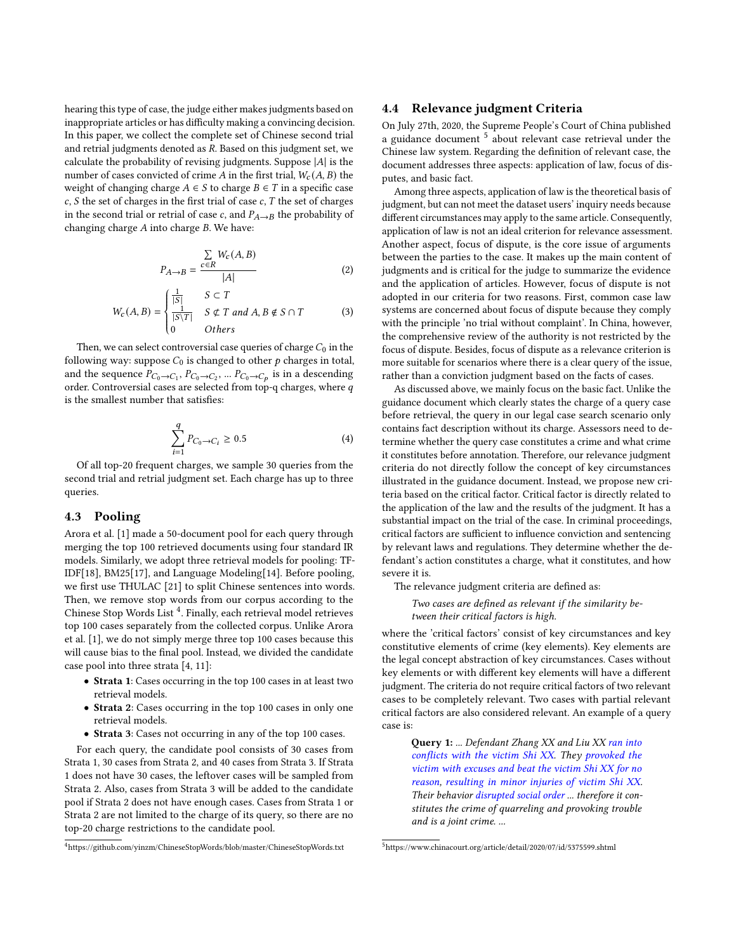hearing this type of case, the judge either makes judgments based on inappropriate articles or has difficulty making a convincing decision. In this paper, we collect the complete set of Chinese second trial and retrial judgments denoted as  $R$ . Based on this judgment set, we calculate the probability of revising judgments. Suppose  $|A|$  is the number of cases convicted of crime A in the first trial,  $W_c(A, B)$  the weight of changing charge  $A \in S$  to charge  $B \in T$  in a specific case  $c, S$  the set of charges in the first trial of case  $c, T$  the set of charges in the second trial or retrial of case c, and  $P_{A\rightarrow B}$  the probability of changing charge  $A$  into charge  $B$ . We have:

$$
P_{A \to B} = \frac{\sum\limits_{c \in R} W_c(A, B)}{|A|} \tag{2}
$$

$$
W_c(A, B) = \begin{cases} \frac{1}{|S|} & S \subset T \\ \frac{1}{|S \backslash T|} & S \not\subset T \text{ and } A, B \not\in S \cap T \\ 0 & \text{Others} \end{cases} \tag{3}
$$

Then, we can select controversial case queries of charge  $\overline{C_0}$  in the following way: suppose  $C_0$  is changed to other  $p$  charges in total, and the sequence  $P_{C_0 \to C_1}$ ,  $P_{C_0 \to C_2}$ , ...  $P_{C_0 \to C_p}$  is in a descending order. Controversial cases are selected from top-q charges, where  $q$ is the smallest number that satisfies:

$$
\sum_{i=1}^{q} P_{C_0 \to C_i} \ge 0.5
$$
 (4)

Of all top-20 frequent charges, we sample 30 queries from the second trial and retrial judgment set. Each charge has up to three queries.

#### <span id="page-3-0"></span>4.3 Pooling

Arora et al. [\[1\]](#page-5-1) made a 50-document pool for each query through merging the top 100 retrieved documents using four standard IR models. Similarly, we adopt three retrieval models for pooling: TF-IDF[\[18\]](#page-6-11), BM25[\[17\]](#page-6-12), and Language Modeling[\[14\]](#page-6-13). Before pooling, we first use THULAC [\[21\]](#page-6-14) to split Chinese sentences into words. Then, we remove stop words from our corpus according to the Chinese Stop Words List<sup>[4](#page-3-2)</sup>. Finally, each retrieval model retrieves top 100 cases separately from the collected corpus. Unlike Arora et al. [\[1\]](#page-5-1), we do not simply merge three top 100 cases because this will cause bias to the final pool. Instead, we divided the candidate case pool into three strata [\[4,](#page-6-15) [11\]](#page-6-16):

- Strata 1: Cases occurring in the top 100 cases in at least two retrieval models.
- Strata 2: Cases occurring in the top 100 cases in only one retrieval models.
- Strata 3: Cases not occurring in any of the top 100 cases.

For each query, the candidate pool consists of 30 cases from Strata 1, 30 cases from Strata 2, and 40 cases from Strata 3. If Strata 1 does not have 30 cases, the leftover cases will be sampled from Strata 2. Also, cases from Strata 3 will be added to the candidate pool if Strata 2 does not have enough cases. Cases from Strata 1 or Strata 2 are not limited to the charge of its query, so there are no top-20 charge restrictions to the candidate pool.

<span id="page-3-2"></span><sup>4</sup><https://github.com/yinzm/ChineseStopWords/blob/master/ChineseStopWords.txt>

#### <span id="page-3-1"></span>4.4 Relevance judgment Criteria

On July 27th, 2020, the Supreme People's Court of China published a guidance document <sup>[5](#page-3-3)</sup> about relevant case retrieval under the Chinese law system. Regarding the definition of relevant case, the document addresses three aspects: application of law, focus of disputes, and basic fact.

Among three aspects, application of law is the theoretical basis of judgment, but can not meet the dataset users' inquiry needs because different circumstances may apply to the same article. Consequently, application of law is not an ideal criterion for relevance assessment. Another aspect, focus of dispute, is the core issue of arguments between the parties to the case. It makes up the main content of judgments and is critical for the judge to summarize the evidence and the application of articles. However, focus of dispute is not adopted in our criteria for two reasons. First, common case law systems are concerned about focus of dispute because they comply with the principle 'no trial without complaint'. In China, however, the comprehensive review of the authority is not restricted by the focus of dispute. Besides, focus of dispute as a relevance criterion is more suitable for scenarios where there is a clear query of the issue, rather than a conviction judgment based on the facts of cases.

As discussed above, we mainly focus on the basic fact. Unlike the guidance document which clearly states the charge of a query case before retrieval, the query in our legal case search scenario only contains fact description without its charge. Assessors need to determine whether the query case constitutes a crime and what crime it constitutes before annotation. Therefore, our relevance judgment criteria do not directly follow the concept of key circumstances illustrated in the guidance document. Instead, we propose new criteria based on the critical factor. Critical factor is directly related to the application of the law and the results of the judgment. It has a substantial impact on the trial of the case. In criminal proceedings, critical factors are sufficient to influence conviction and sentencing by relevant laws and regulations. They determine whether the defendant's action constitutes a charge, what it constitutes, and how severe it is.

The relevance judgment criteria are defined as:

Two cases are defined as relevant if the similarity between their critical factors is high.

where the 'critical factors' consist of key circumstances and key constitutive elements of crime (key elements). Key elements are the legal concept abstraction of key circumstances. Cases without key elements or with different key elements will have a different judgment. The criteria do not require critical factors of two relevant cases to be completely relevant. Two cases with partial relevant critical factors are also considered relevant. An example of a query case is:

> **Query 1:** ... Defendant Zhang XX and Liu XX ran into conflicts with the victim Shi XX. They provoked the victim with excuses and beat the victim Shi XX for no reason, resulting in minor injuries of victim Shi XX. Their behavior disrupted social order ... therefore it constitutes the crime of quarreling and provoking trouble and is a joint crime. ...

<span id="page-3-3"></span><sup>5</sup><https://www.chinacourt.org/article/detail/2020/07/id/5375599.shtml>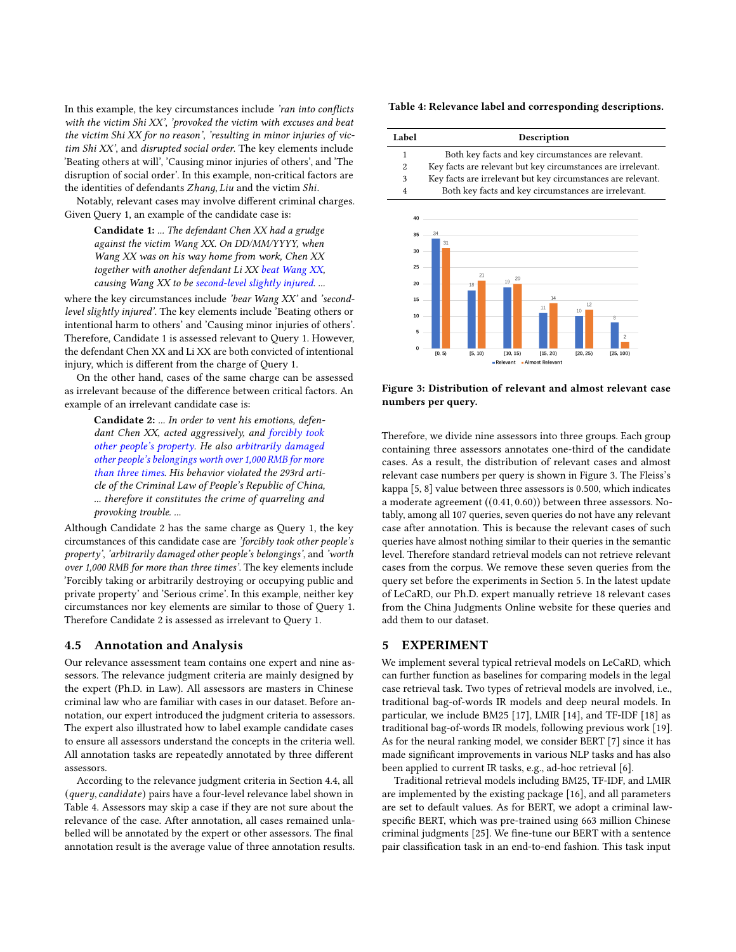In this example, the key circumstances include 'ran into conflicts with the victim Shi XX', 'provoked the victim with excuses and beat the victim Shi XX for no reason', 'resulting in minor injuries of victim Shi XX', and disrupted social order. The key elements include 'Beating others at will', 'Causing minor injuries of others', and 'The disruption of social order'. In this example, non-critical factors are the identities of defendants Zhang, Liu and the victim Shi.

Notably, relevant cases may involve different criminal charges. Given Query 1, an example of the candidate case is:

Candidate 1: ... The defendant Chen XX had a grudge against the victim Wang XX. On DD/MM/YYYY, when Wang XX was on his way home from work, Chen XX together with another defendant Li XX beat Wang XX, causing Wang XX to be second-level slightly injured. ...

where the key circumstances include 'bear Wang XX' and 'secondlevel slightly injured'. The key elements include 'Beating others or intentional harm to others' and 'Causing minor injuries of others'. Therefore, Candidate 1 is assessed relevant to Query 1. However, the defendant Chen XX and Li XX are both convicted of intentional injury, which is different from the charge of Query 1.

On the other hand, cases of the same charge can be assessed as irrelevant because of the difference between critical factors. An example of an irrelevant candidate case is:

Candidate 2: ... In order to vent his emotions, defendant Chen XX, acted aggressively, and forcibly took other people's property. He also arbitrarily damaged other people's belongings worth over 1,000 RMB for more than three times. His behavior violated the 293rd article of the Criminal Law of People's Republic of China, ... therefore it constitutes the crime of quarreling and provoking trouble. ...

Although Candidate 2 has the same charge as Query 1, the key circumstances of this candidate case are 'forcibly took other people's property', 'arbitrarily damaged other people's belongings', and 'worth over 1,000 RMB for more than three times'. The key elements include 'Forcibly taking or arbitrarily destroying or occupying public and private property' and 'Serious crime'. In this example, neither key circumstances nor key elements are similar to those of Query 1. Therefore Candidate 2 is assessed as irrelevant to Query 1.

### <span id="page-4-0"></span>4.5 Annotation and Analysis

Our relevance assessment team contains one expert and nine assessors. The relevance judgment criteria are mainly designed by the expert (Ph.D. in Law). All assessors are masters in Chinese criminal law who are familiar with cases in our dataset. Before annotation, our expert introduced the judgment criteria to assessors. The expert also illustrated how to label example candidate cases to ensure all assessors understand the concepts in the criteria well. All annotation tasks are repeatedly annotated by three different assessors.

According to the relevance judgment criteria in Section [4.4,](#page-3-1) all  $(query, candidate)$  pairs have a four-level relevance label shown in Table [4.](#page-4-1) Assessors may skip a case if they are not sure about the relevance of the case. After annotation, all cases remained unlabelled will be annotated by the expert or other assessors. The final annotation result is the average value of three annotation results.

#### <span id="page-4-1"></span>Table 4: Relevance label and corresponding descriptions.

<span id="page-4-2"></span>

Figure 3: Distribution of relevant and almost relevant case numbers per query.

Therefore, we divide nine assessors into three groups. Each group containing three assessors annotates one-third of the candidate cases. As a result, the distribution of relevant cases and almost relevant case numbers per query is shown in Figure [3.](#page-4-2) The Fleiss's kappa [\[5,](#page-6-17) [8\]](#page-6-18) value between three assessors is 0.500, which indicates a moderate agreement ((0.41, 0.60)) between three assessors. Notably, among all 107 queries, seven queries do not have any relevant case after annotation. This is because the relevant cases of such queries have almost nothing similar to their queries in the semantic level. Therefore standard retrieval models can not retrieve relevant cases from the corpus. We remove these seven queries from the query set before the experiments in Section [5.](#page-4-3) In the latest update of LeCaRD, our Ph.D. expert manually retrieve 18 relevant cases from the China Judgments Online website for these queries and add them to our dataset.

## <span id="page-4-3"></span>5 EXPERIMENT

We implement several typical retrieval models on LeCaRD, which can further function as baselines for comparing models in the legal case retrieval task. Two types of retrieval models are involved, i.e., traditional bag-of-words IR models and deep neural models. In particular, we include BM25 [\[17\]](#page-6-12), LMIR [\[14\]](#page-6-13), and TF-IDF [\[18\]](#page-6-11) as traditional bag-of-words IR models, following previous work [\[19\]](#page-6-19). As for the neural ranking model, we consider BERT [\[7\]](#page-6-20) since it has made significant improvements in various NLP tasks and has also been applied to current IR tasks, e.g., ad-hoc retrieval [\[6\]](#page-6-21).

Traditional retrieval models including BM25, TF-IDF, and LMIR are implemented by the existing package [\[16\]](#page-6-22), and all parameters are set to default values. As for BERT, we adopt a criminal lawspecific BERT, which was pre-trained using 663 million Chinese criminal judgments [\[25\]](#page-6-23). We fine-tune our BERT with a sentence pair classification task in an end-to-end fashion. This task input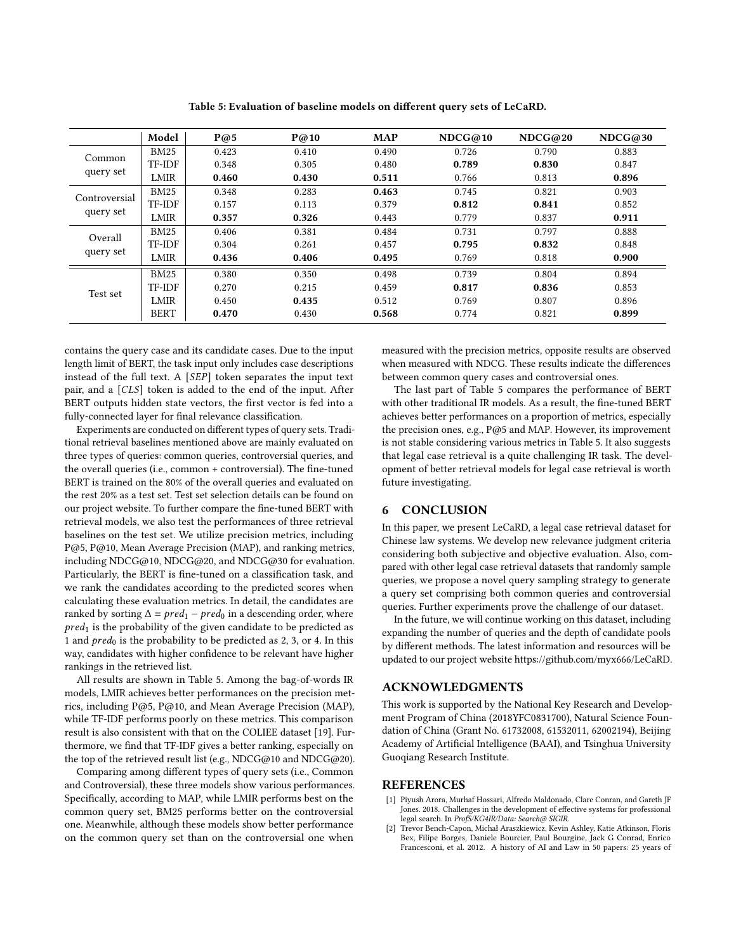<span id="page-5-2"></span>Model P@5 P@10 MAP NDCG@10 NDCG@20 NDCG@30 Common query set BM25 0.423 0.410 0.490 0.726 0.790 0.883 TF-IDF 0.348 0.305 0.480 0.789 0.830 0.847  $\text{LMIR}$  | 0.460 0.430 0.511 0.766 0.813 0.896 Controversial query set BM25 0.348 0.283 **0.463** 0.745 0.821 0.903 TF-IDF 0.157 0.113 0.379 0.812 0.841 0.852 LMIR 1 0.357 0.326 0.443 0.779 0.837 0.911 Overall query set BM25 0.406 0.381 0.484 0.731 0.797 0.888 TF-IDF 0.304 0.261 0.457 0.795 0.832 0.848  $\text{LMIR} \begin{array}{|l} \quad \textbf{0.436} \quad \quad \textbf{0.406} \quad \quad \textbf{0.495} \quad \quad \textbf{0.769} \quad \quad \textbf{0.818} \quad \quad \textbf{0.900} \quad \quad \textbf{0.900} \quad \quad \textbf{0.900} \quad \quad \textbf{0.900} \quad \quad \textbf{0.900} \quad \quad \textbf{0.900} \quad \quad \textbf{0.900} \quad \quad \textbf{0.900} \quad \quad \textbf{0.900} \quad \quad \textbf{0.90$ Test set BM25 0.380 0.350 0.498 0.739 0.804 0.894 TF-IDF 0.270 0.215 0.459 0.817 0.836 0.853  $\text{LMIR}$  | 0.450 0.435 0.512 0.769 0.807 0.896 BERT | 0.470 0.430 0.568 0.774 0.821 0.899

Table 5: Evaluation of baseline models on different query sets of LeCaRD.

contains the query case and its candidate cases. Due to the input length limit of BERT, the task input only includes case descriptions instead of the full text. A  $[SEP]$  token separates the input text pair, and a  $[CLS]$  token is added to the end of the input. After BERT outputs hidden state vectors, the first vector is fed into a fully-connected layer for final relevance classification.

Experiments are conducted on different types of query sets. Traditional retrieval baselines mentioned above are mainly evaluated on three types of queries: common queries, controversial queries, and the overall queries (i.e., common + controversial). The fine-tuned BERT is trained on the 80% of the overall queries and evaluated on the rest 20% as a test set. Test set selection details can be found on our project website. To further compare the fine-tuned BERT with retrieval models, we also test the performances of three retrieval baselines on the test set. We utilize precision metrics, including P@5, P@10, Mean Average Precision (MAP), and ranking metrics, including NDCG@10, NDCG@20, and NDCG@30 for evaluation. Particularly, the BERT is fine-tuned on a classification task, and we rank the candidates according to the predicted scores when calculating these evaluation metrics. In detail, the candidates are ranked by sorting  $\Delta = pred_1 - pred_0$  in a descending order, where  $pred<sub>1</sub>$  is the probability of the given candidate to be predicted as 1 and  $pred_0$  is the probability to be predicted as 2, 3, or 4. In this way, candidates with higher confidence to be relevant have higher rankings in the retrieved list.

All results are shown in Table [5.](#page-5-2) Among the bag-of-words IR models, LMIR achieves better performances on the precision metrics, including P@5, P@10, and Mean Average Precision (MAP), while TF-IDF performs poorly on these metrics. This comparison result is also consistent with that on the COLIEE dataset [\[19\]](#page-6-19). Furthermore, we find that TF-IDF gives a better ranking, especially on the top of the retrieved result list (e.g., NDCG@10 and NDCG@20).

Comparing among different types of query sets (i.e., Common and Controversial), these three models show various performances. Specifically, according to MAP, while LMIR performs best on the common query set, BM25 performs better on the controversial one. Meanwhile, although these models show better performance on the common query set than on the controversial one when

measured with the precision metrics, opposite results are observed when measured with NDCG. These results indicate the differences between common query cases and controversial ones.

The last part of Table [5](#page-5-2) compares the performance of BERT with other traditional IR models. As a result, the fine-tuned BERT achieves better performances on a proportion of metrics, especially the precision ones, e.g., P@5 and MAP. However, its improvement is not stable considering various metrics in Table [5.](#page-5-2) It also suggests that legal case retrieval is a quite challenging IR task. The development of better retrieval models for legal case retrieval is worth future investigating.

#### 6 CONCLUSION

In this paper, we present LeCaRD, a legal case retrieval dataset for Chinese law systems. We develop new relevance judgment criteria considering both subjective and objective evaluation. Also, compared with other legal case retrieval datasets that randomly sample queries, we propose a novel query sampling strategy to generate a query set comprising both common queries and controversial queries. Further experiments prove the challenge of our dataset.

In the future, we will continue working on this dataset, including expanding the number of queries and the depth of candidate pools by different methods. The latest information and resources will be updated to our project website [https://github.com/myx666/LeCaRD.](https://github.com/myx666/LeCaRD)

#### ACKNOWLEDGMENTS

This work is supported by the National Key Research and Development Program of China (2018YFC0831700), Natural Science Foundation of China (Grant No. 61732008, 61532011, 62002194), Beijing Academy of Artificial Intelligence (BAAI), and Tsinghua University Guoqiang Research Institute.

#### REFERENCES

- <span id="page-5-1"></span>[1] Piyush Arora, Murhaf Hossari, Alfredo Maldonado, Clare Conran, and Gareth JF Jones. 2018. Challenges in the development of effective systems for professional legal search. In ProfS/KG4IR/Data: Search@ SIGIR.
- <span id="page-5-0"></span>[2] Trevor Bench-Capon, Michał Araszkiewicz, Kevin Ashley, Katie Atkinson, Floris Bex, Filipe Borges, Daniele Bourcier, Paul Bourgine, Jack G Conrad, Enrico Francesconi, et al. 2012. A history of AI and Law in 50 papers: 25 years of